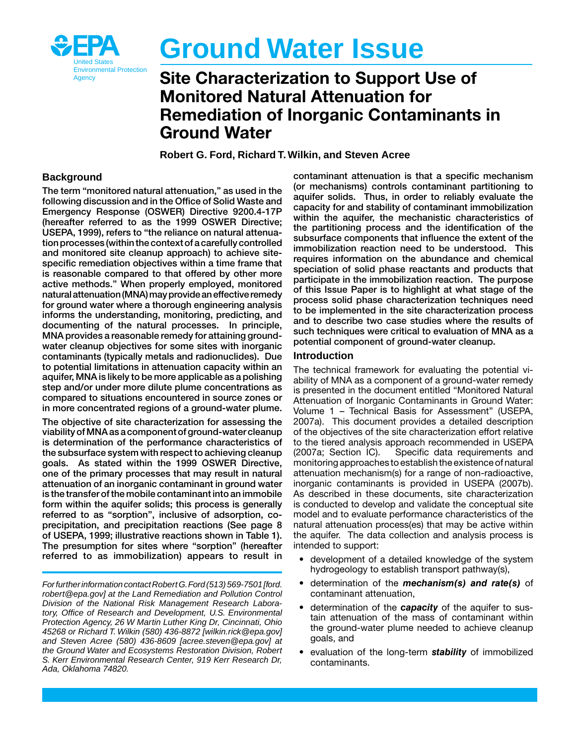

# **Ground Water Issue**

## Agency Site Characterization to Support Use of Monitored Natural Attenuation for Remediation of Inorganic Contaminants in Ground Water

**Robert G. Ford, Richard T. Wilkin, and Steven Acree** 

#### **Background**

tion processes (within the context of a carefully controlled natural attenuation (MNA) may provide an effective remedy The term "monitored natural attenuation," as used in the following discussion and in the Office of Solid Waste and Emergency Response (OSWER) Directive 9200.4‑17P (hereafter referred to as the 1999 OSWER Directive; USEPA, 1999), refers to "the reliance on natural attenuaand monitored site cleanup approach) to achieve sitespecific remediation objectives within a time frame that is reasonable compared to that offered by other more active methods." When properly employed, monitored for ground water where a thorough engineering analysis informs the understanding, monitoring, predicting, and documenting of the natural processes. In principle, MNA provides a reasonable remedy for attaining groundwater cleanup objectives for some sites with inorganic contaminants (typically metals and radionuclides). Due to potential limitations in attenuation capacity within an aquifer, MNA is likely to be more applicable as a polishing step and/or under more dilute plume concentrations as compared to situations encountered in source zones or in more concentrated regions of a ground-water plume.

 referred to as immobilization) appears to result in The objective of site characterization for assessing the viability of MNA as a component of ground‑water cleanup is determination of the performance characteristics of the subsurface system with respect to achieving cleanup goals. As stated within the 1999 OSWER Directive, one of the primary processes that may result in natural attenuation of an inorganic contaminant in ground water is the transfer of the mobile contaminant into an immobile form within the aquifer solids; this process is generally referred to as "sorption", inclusive of adsorption, coprecipitation, and precipitation reactions (See page 8 of USEPA, 1999; illustrative reactions shown in Table 1). The presumption for sites where "sorption" (hereafter

 *ForfurtherinformationcontactRobertG.Ford(513)569-7501[[ford.](mailto:ford.robert@epa.gov) [robert@epa.gov\]](mailto:ford.robert@epa.gov) at the Land Remediation and Pollution Control Division of the National Risk Management Research Laboratory, Office of Research and Development, U.S. Environmental Protection Agency, 26 W Martin Luther King Dr, Cincinnati, Ohio 45268 or Richard T. Wilkin (580) 436-8872 [\[wilkin.rick@epa.gov\]](mailto:wilkin.rick@epa.gov) and Steven Acree (580) 436-8609 [[acree.steven@epa.gov\]](mailto:acree.steven@epa.gov) at the Ground Water and Ecosystems Restoration Division, Robert S. Kerr Environmental Research Center, 919 Kerr Research Dr, Ada, Oklahoma 74820.* 

contaminant attenuation is that a specific mechanism (or mechanisms) controls contaminant partitioning to aquifer solids. Thus, in order to reliably evaluate the capacity for and stability of contaminant immobilization within the aquifer, the mechanistic characteristics of the partitioning process and the identification of the subsurface components that influence the extent of the immobilization reaction need to be understood. This requires information on the abundance and chemical speciation of solid phase reactants and products that participate in the immobilization reaction. The purpose of this Issue Paper is to highlight at what stage of the process solid phase characterization techniques need to be implemented in the site characterization process and to describe two case studies where the results of such techniques were critical to evaluation of MNA as a potential component of ground‑water cleanup.

#### **Introduction**

The technical framework for evaluating the potential viability of MNA as a component of a ground-water remedy is presented in the document entitled "Monitored Natural Attenuation of Inorganic Contaminants in Ground Water: Volume 1 – Technical Basis for Assessment" (USEPA, 2007a). This document provides a detailed description of the objectives of the site characterization effort relative to the tiered analysis approach recommended in USEPA (2007a; Section IC). Specific data requirements and monitoring approaches to establish the existence of natural attenuation mechanism(s) for a range of non-radioactive, inorganic contaminants is provided in USEPA (2007b). As described in these documents, site characterization is conducted to develop and validate the conceptual site model and to evaluate performance characteristics of the natural attenuation process(es) that may be active within the aquifer. The data collection and analysis process is intended to support:

- development of a detailed knowledge of the system hydrogeology to establish transport pathway(s),
- • determination of the *mechanism(s) and rate(s)* of contaminant attenuation,
- determination of the **capacity** of the aquifer to sustain attenuation of the mass of contaminant within the ground-water plume needed to achieve cleanup goals, and
- evaluation of the long-term **stability** of immobilized contaminants.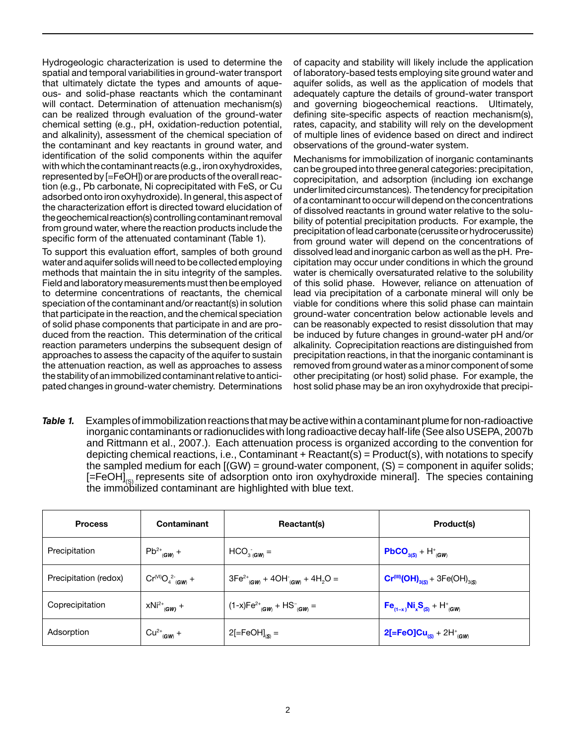with which the contaminant reacts (e.g., iron oxyhydroxides, the geochemical reaction(s) controlling contaminant removal Hydrogeologic characterization is used to determine the spatial and temporal variabilities in ground-water transport that ultimately dictate the types and amounts of aqueous- and solid-phase reactants which the contaminant will contact. Determination of attenuation mechanism(s) can be realized through evaluation of the ground-water chemical setting (e.g., pH, oxidation-reduction potential, and alkalinity), assessment of the chemical speciation of the contaminant and key reactants in ground water, and identification of the solid components within the aquifer represented by [=FeOH]) or are products of the overall reaction (e.g., Pb carbonate, Ni coprecipitated with FeS, or Cu adsorbed onto iron oxyhydroxide). In general, this aspect of the characterization effort is directed toward elucidation of from ground water, where the reaction products include the specific form of the attenuated contaminant (Table 1).

Field and laboratory measurements must then be employed the stability of an immobilized contaminant relative to antici-To support this evaluation effort, samples of both ground water and aquifer solids will need to be collected employing methods that maintain the in situ integrity of the samples. to determine concentrations of reactants, the chemical speciation of the contaminant and/or reactant(s) in solution that participate in the reaction, and the chemical speciation of solid phase components that participate in and are produced from the reaction. This determination of the critical reaction parameters underpins the subsequent design of approaches to assess the capacity of the aquifer to sustain the attenuation reaction, as well as approaches to assess pated changes in ground-water chemistry. Determinations

 and governing biogeochemical reactions. Ultimately, of capacity and stability will likely include the application of laboratory-based tests employing site ground water and aquifer solids, as well as the application of models that adequately capture the details of ground-water transport defining site-specific aspects of reaction mechanism(s), rates, capacity, and stability will rely on the development of multiple lines of evidence based on direct and indirect observations of the ground-water system.

under limited circumstances). The tendency for precipitation of a contaminant to occur will depend on the concentrations precipitation of lead carbonate (cerussite or hydrocerussite) Mechanisms for immobilization of inorganic contaminants can be grouped into three general categories: precipitation, coprecipitation, and adsorption (including ion exchange of dissolved reactants in ground water relative to the solubility of potential precipitation products. For example, the from ground water will depend on the concentrations of dissolved lead and inorganic carbon as well as the pH. Precipitation may occur under conditions in which the ground water is chemically oversaturated relative to the solubility of this solid phase. However, reliance on attenuation of lead via precipitation of a carbonate mineral will only be viable for conditions where this solid phase can maintain ground-water concentration below actionable levels and can be reasonably expected to resist dissolution that may be induced by future changes in ground-water pH and/or alkalinity. Coprecipitation reactions are distinguished from precipitation reactions, in that the inorganic contaminant is removed from ground water as a minor component of some other precipitating (or host) solid phase. For example, the host solid phase may be an iron oxyhydroxide that precipi-

Table 1. and Rittmann et al., 2007.). Each attenuation process is organized according to the convention for [=FeOH]<sub>(S)</sub> represents site of adsorption onto iron oxyhydroxide mineral]. The species containing Examples of immobilization reactions that may be active within a contaminant plume for non-radioactive inorganic contaminants or radionuclides with long radioactive decay half-life (See also USEPA, 2007b depicting chemical reactions, i.e., Contaminant  $+$  Reactant(s) = Product(s), with notations to specify the sampled medium for each  $[(GW) = ground-water component, (S) = component in aquifer solids;$ the immobilized contaminant are highlighted with blue text.

| <b>Process</b>        | <b>Contaminant</b>           | Reactant(s)                                                                         | Product(s)                               |
|-----------------------|------------------------------|-------------------------------------------------------------------------------------|------------------------------------------|
| Precipitation         | $Pb^{2+}$ <sub>(GW)</sub> +  | $HCO3 (GW) =$                                                                       | $PbCO3(S) + H+(GW)$                      |
| Precipitation (redox) | $C r^{(Vi)} O_4^{2} (Gw)$ +  | $3Fe^{2+}$ <sub>(GW)</sub> + 4OH <sup>-</sup> <sub>(GW)</sub> + 4H <sub>2</sub> O = | $Cr^{(III)}(OH)_{3(S)} + 3Fe(OH)_{3(S)}$ |
| Coprecipitation       | $xNi^{2+}$ <sub>(GW)</sub> + | $(1-x)Fe2+_{(GW)} + HS-_{(GW)} =$                                                   | $Fe_{(1-x)}Ni_xS_{(S)} + H^+_{(GW)}$     |
| Adsorption            | $Cu^{2+}$ <sub>(GW)</sub> +  | $2[=FeOH]_{(S)} =$                                                                  | $2[=FeO]Cu_{(S)} + 2H^{+}_{(GW)}$        |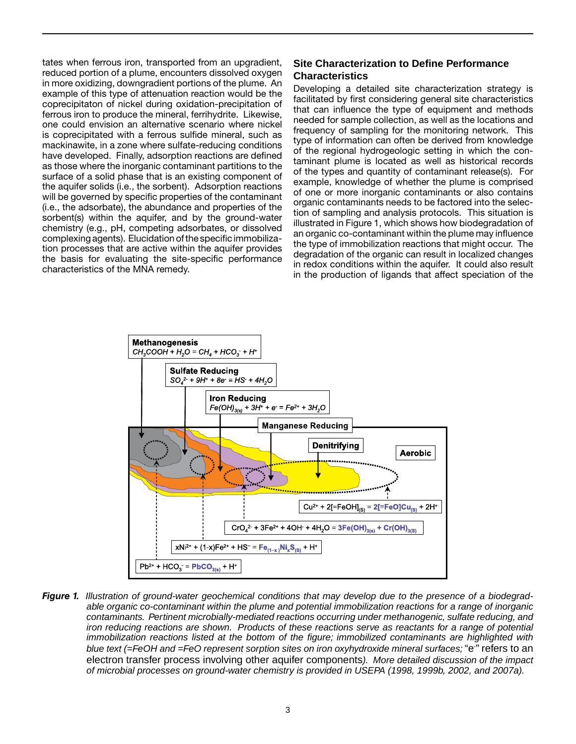complexing agents). Elucidation of the specific immobiliza- the basis for evaluating the site-specific performance tates when ferrous iron, transported from an upgradient, reduced portion of a plume, encounters dissolved oxygen in more oxidizing, downgradient portions of the plume. An example of this type of attenuation reaction would be the coprecipitaton of nickel during oxidation-precipitation of ferrous iron to produce the mineral, ferrihydrite. Likewise, one could envision an alternative scenario where nickel is coprecipitated with a ferrous sulfide mineral, such as mackinawite, in a zone where sulfate-reducing conditions have developed. Finally, adsorption reactions are defined as those where the inorganic contaminant partitions to the surface of a solid phase that is an existing component of the aquifer solids (i.e., the sorbent). Adsorption reactions will be governed by specific properties of the contaminant (i.e., the adsorbate), the abundance and properties of the sorbent(s) within the aquifer, and by the ground-water chemistry (e.g., pH, competing adsorbates, or dissolved tion processes that are active within the aquifer provides characteristics of the MNA remedy.

#### **Site Characterization to Define Performance Characteristics**

Developing a detailed site characterization strategy is facilitated by first considering general site characteristics that can influence the type of equipment and methods needed for sample collection, as well as the locations and frequency of sampling for the monitoring network. This type of information can often be derived from knowledge of the regional hydrogeologic setting in which the contaminant plume is located as well as historical records of the types and quantity of contaminant release(s). For example, knowledge of whether the plume is comprised of one or more inorganic contaminants or also contains organic contaminants needs to be factored into the selection of sampling and analysis protocols. This situation is illustrated in Figure 1, which shows how biodegradation of an organic co-contaminant within the plume may influence the type of immobilization reactions that might occur. The degradation of the organic can result in localized changes in redox conditions within the aquifer. It could also result in the production of ligands that affect speciation of the



**Figure 1.** Illustration of ground-water geochemical conditions that may develop due to the presence of a biodegrad- *contaminants. Pertinent microbially-mediated reactions occurring under methanogenic, sulfate reducing, and iron reducing reactions are shown. Products of these reactions serve as reactants for a range of potential*  electron transfer process involving other aquifer components*). More detailed discussion of the impact able organic co-contaminant within the plume and potential immobilization reactions for a range of inorganic immobilization reactions listed at the bottom of the figure; immobilized contaminants are highlighted with*  blue text (=FeOH and =FeO represent sorption sites on iron oxyhydroxide mineral surfaces; "e<sup>-</sup>" refers to an *of microbial processes on ground-water chemistry is provided in USEPA (1998, 1999b, 2002, and 2007a).*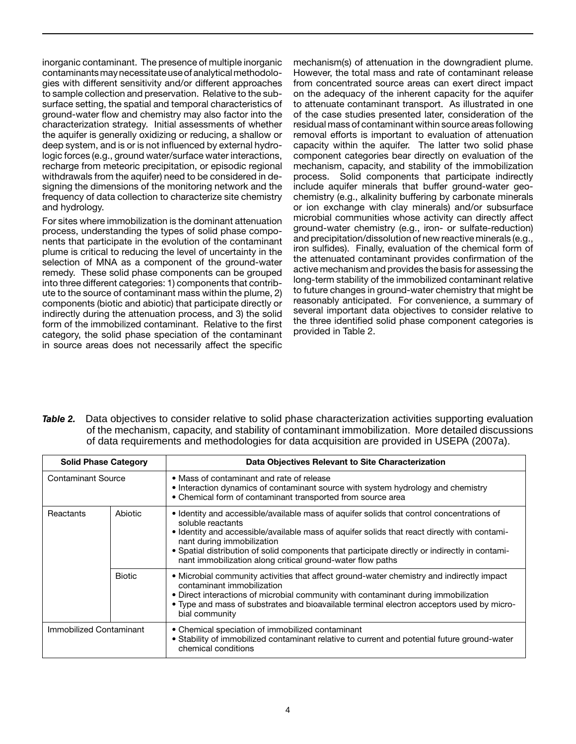contaminants may necessitate use of analytical methodoloinorganic contaminant. The presence of multiple inorganic gies with different sensitivity and/or different approaches to sample collection and preservation. Relative to the subsurface setting, the spatial and temporal characteristics of ground-water flow and chemistry may also factor into the characterization strategy. Initial assessments of whether the aquifer is generally oxidizing or reducing, a shallow or deep system, and is or is not influenced by external hydrologic forces (e.g., ground water/surface water interactions, recharge from meteoric precipitation, or episodic regional withdrawals from the aquifer) need to be considered in designing the dimensions of the monitoring network and the frequency of data collection to characterize site chemistry and hydrology.

For sites where immobilization is the dominant attenuation process, understanding the types of solid phase components that participate in the evolution of the contaminant plume is critical to reducing the level of uncertainty in the selection of MNA as a component of the ground-water remedy. These solid phase components can be grouped into three different categories: 1) components that contribute to the source of contaminant mass within the plume, 2) components (biotic and abiotic) that participate directly or indirectly during the attenuation process, and 3) the solid form of the immobilized contaminant. Relative to the first category, the solid phase speciation of the contaminant in source areas does not necessarily affect the specific

mechanism(s) of attenuation in the downgradient plume. However, the total mass and rate of contaminant release from concentrated source areas can exert direct impact on the adequacy of the inherent capacity for the aquifer to attenuate contaminant transport. As illustrated in one of the case studies presented later, consideration of the residual mass of contaminant within source areas following removal efforts is important to evaluation of attenuation capacity within the aquifer. The latter two solid phase component categories bear directly on evaluation of the mechanism, capacity, and stability of the immobilization process. Solid components that participate indirectly include aquifer minerals that buffer ground-water geochemistry (e.g., alkalinity buffering by carbonate minerals or ion exchange with clay minerals) and/or subsurface microbial communities whose activity can directly affect ground-water chemistry (e.g., iron- or sulfate-reduction) and precipitation/dissolution of new reactive minerals (e.g., iron sulfides). Finally, evaluation of the chemical form of the attenuated contaminant provides confirmation of the active mechanism and provides the basis for assessing the long-term stability of the immobilized contaminant relative to future changes in ground-water chemistry that might be reasonably anticipated. For convenience, a summary of several important data objectives to consider relative to the three identified solid phase component categories is provided in Table 2.

Table 2. of the mechanism, capacity, and stability of contaminant immobilization. More detailed discussions Data objectives to consider relative to solid phase characterization activities supporting evaluation of data requirements and methodologies for data acquisition are provided in USEPA (2007a).

| <b>Solid Phase Category</b> |               | Data Objectives Relevant to Site Characterization                                                                                                                                                                                                                                                                                                                                                            |
|-----------------------------|---------------|--------------------------------------------------------------------------------------------------------------------------------------------------------------------------------------------------------------------------------------------------------------------------------------------------------------------------------------------------------------------------------------------------------------|
| <b>Contaminant Source</b>   |               | • Mass of contaminant and rate of release<br>• Interaction dynamics of contaminant source with system hydrology and chemistry<br>• Chemical form of contaminant transported from source area                                                                                                                                                                                                                 |
| Reactants                   | Abiotic       | • Identity and accessible/available mass of aquifer solids that control concentrations of<br>soluble reactants<br>• Identity and accessible/available mass of aquifer solids that react directly with contami-<br>nant during immobilization<br>• Spatial distribution of solid components that participate directly or indirectly in contami-<br>nant immobilization along critical ground-water flow paths |
|                             | <b>Biotic</b> | • Microbial community activities that affect ground-water chemistry and indirectly impact<br>contaminant immobilization<br>• Direct interactions of microbial community with contaminant during immobilization<br>. Type and mass of substrates and bioavailable terminal electron acceptors used by micro-<br>bial community                                                                                |
| Immobilized Contaminant     |               | • Chemical speciation of immobilized contaminant<br>• Stability of immobilized contaminant relative to current and potential future ground-water<br>chemical conditions                                                                                                                                                                                                                                      |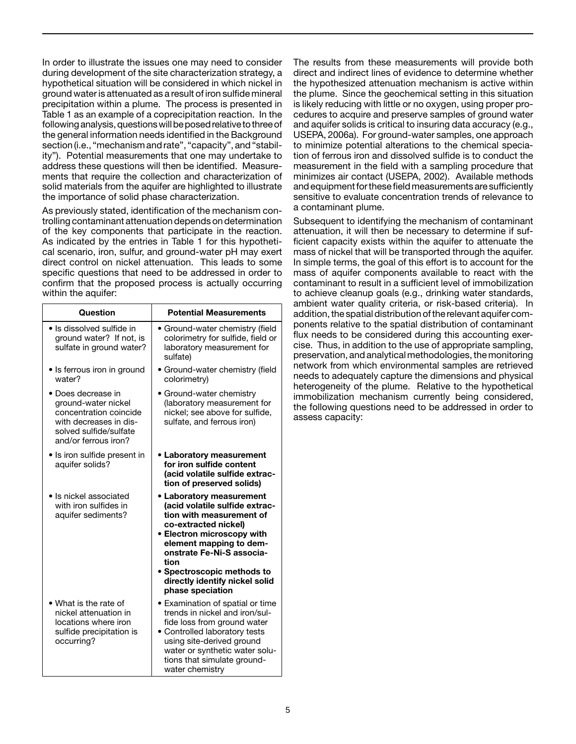following analysis, questions will be posed relative to three of section (i.e., "mechanism and rate", "capacity", and "stabil-In order to illustrate the issues one may need to consider during development of the site characterization strategy, a hypothetical situation will be considered in which nickel in ground water is attenuated as a result of iron sulfide mineral precipitation within a plume. The process is presented in Table 1 as an example of a coprecipitation reaction. In the the general information needs identified in the Background ity"). Potential measurements that one may undertake to address these questions will then be identified. Measurements that require the collection and characterization of solid materials from the aquifer are highlighted to illustrate the importance of solid phase characterization.

As previously stated, identification of the mechanism controlling contaminant attenuation depends on determination of the key components that participate in the reaction. As indicated by the entries in Table 1 for this hypothetical scenario, iron, sulfur, and ground-water pH may exert direct control on nickel attenuation. This leads to some specific questions that need to be addressed in order to confirm that the proposed process is actually occurring within the aquifer:

| <b>Question</b>                                                                                                                               | <b>Potential Measurements</b>                                                                                                                                                                                                                                                |
|-----------------------------------------------------------------------------------------------------------------------------------------------|------------------------------------------------------------------------------------------------------------------------------------------------------------------------------------------------------------------------------------------------------------------------------|
| • Is dissolved sulfide in<br>ground water? If not, is<br>sulfate in ground water?                                                             | · Ground-water chemistry (field<br>colorimetry for sulfide, field or<br>laboratory measurement for<br>sulfate)                                                                                                                                                               |
| • Is ferrous iron in ground<br>water?                                                                                                         | • Ground-water chemistry (field<br>colorimetry)                                                                                                                                                                                                                              |
| Does decrease in<br>ground-water nickel<br>concentration coincide<br>with decreases in dis-<br>solved sulfide/sulfate<br>and/or ferrous iron? | • Ground-water chemistry<br>(laboratory measurement for<br>nickel; see above for sulfide,<br>sulfate, and ferrous iron)                                                                                                                                                      |
| • Is iron sulfide present in<br>aquifer solids?                                                                                               | • Laboratory measurement<br>for iron sulfide content<br>(acid volatile sulfide extrac-<br>tion of preserved solids)                                                                                                                                                          |
| • Is nickel associated<br>with iron sulfides in<br>aquifer sediments?                                                                         | • Laboratory measurement<br>(acid volatile sulfide extrac-<br>tion with measurement of<br>co-extracted nickel)<br>• Electron microscopy with<br>element mapping to dem-<br>onstrate Fe-Ni-S associa-<br>tion<br>• Spectroscopic methods to<br>directly identify nickel solid |
| • What is the rate of<br>nickel attenuation in<br>locations where iron<br>sulfide precipitation is<br>occurring?                              | phase speciation<br>• Examination of spatial or time<br>trends in nickel and iron/sul-<br>fide loss from ground water<br>• Controlled laboratory tests<br>using site-derived ground<br>water or synthetic water solu-<br>tions that simulate ground-<br>water chemistry      |

and equipment for these field measurements are sufficiently The results from these measurements will provide both direct and indirect lines of evidence to determine whether the hypothesized attenuation mechanism is active within the plume. Since the geochemical setting in this situation is likely reducing with little or no oxygen, using proper procedures to acquire and preserve samples of ground water and aquifer solids is critical to insuring data accuracy (e.g., USEPA, 2006a). For ground-water samples, one approach to minimize potential alterations to the chemical speciation of ferrous iron and dissolved sulfide is to conduct the measurement in the field with a sampling procedure that minimizes air contact (USEPA, 2002). Available methods sensitive to evaluate concentration trends of relevance to a contaminant plume.

addition, the spatial distribution of the relevant aquifer com- immobilization mechanism currently being considered, Subsequent to identifying the mechanism of contaminant attenuation, it will then be necessary to determine if sufficient capacity exists within the aquifer to attenuate the mass of nickel that will be transported through the aquifer. In simple terms, the goal of this effort is to account for the mass of aquifer components available to react with the contaminant to result in a sufficient level of immobilization to achieve cleanup goals (e.g., drinking water standards, ambient water quality criteria, or risk-based criteria). In ponents relative to the spatial distribution of contaminant flux needs to be considered during this accounting exercise. Thus, in addition to the use of appropriate sampling, preservation, and analytical methodologies, the monitoring network from which environmental samples are retrieved needs to adequately capture the dimensions and physical heterogeneity of the plume. Relative to the hypothetical the following questions need to be addressed in order to assess capacity: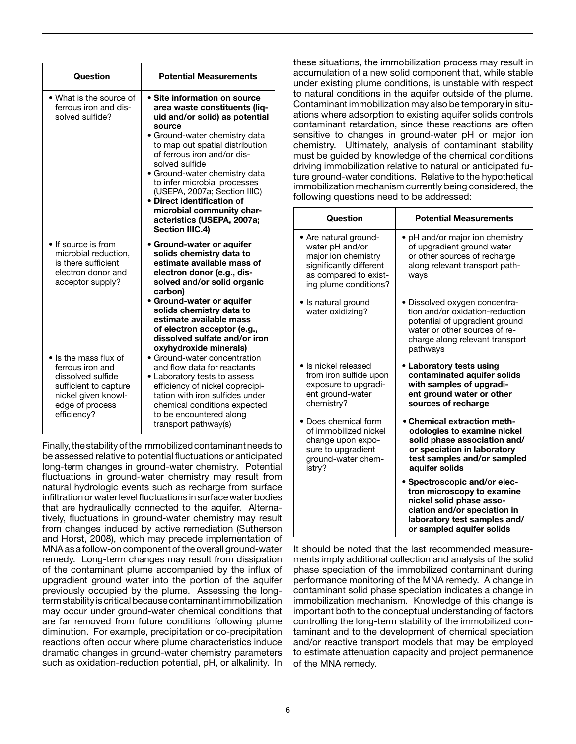| Question                                                                                                                                         | <b>Potential Measurements</b>                                                                                                                                                                                                                                                                                                                                                                                                               |
|--------------------------------------------------------------------------------------------------------------------------------------------------|---------------------------------------------------------------------------------------------------------------------------------------------------------------------------------------------------------------------------------------------------------------------------------------------------------------------------------------------------------------------------------------------------------------------------------------------|
| • What is the source of<br>ferrous iron and dis-<br>solved sulfide?                                                                              | • Site information on source<br>area waste constituents (lig-<br>uid and/or solid) as potential<br>source<br>· Ground-water chemistry data<br>to map out spatial distribution<br>of ferrous iron and/or dis-<br>solved sulfide<br>• Ground-water chemistry data<br>to infer microbial processes<br>(USEPA, 2007a; Section IIIC)<br>• Direct identification of<br>microbial community char-<br>acteristics (USEPA, 2007a;<br>Section IIIC.4) |
| • If source is from<br>microbial reduction,<br>is there sufficient<br>electron donor and<br>acceptor supply?                                     | • Ground-water or aquifer<br>solids chemistry data to<br>estimate available mass of<br>electron donor (e.g., dis-<br>solved and/or solid organic<br>carbon)<br>• Ground-water or aquifer<br>solids chemistry data to<br>estimate available mass<br>of electron acceptor (e.g.,<br>dissolved sulfate and/or iron<br>oxyhydroxide minerals)                                                                                                   |
| • Is the mass flux of<br>ferrous iron and<br>dissolved sulfide<br>sufficient to capture<br>nickel given knowl-<br>edge of process<br>efficiency? | • Ground-water concentration<br>and flow data for reactants<br>• Laboratory tests to assess<br>efficiency of nickel coprecipi-<br>tation with iron sulfides under<br>chemical conditions expected<br>to be encountered along<br>transport pathway(s)                                                                                                                                                                                        |

Finally, the stability of the immobilized contaminant needs to infiltration or water level fluctuations in surface water bodies termstabilityiscriticalbecausecontaminantimmobilization be assessed relative to potential fluctuations or anticipated long-term changes in ground-water chemistry. Potential fluctuations in ground-water chemistry may result from natural hydrologic events such as recharge from surface that are hydraulically connected to the aquifer. Alternatively, fluctuations in ground-water chemistry may result from changes induced by active remediation (Sutherson and Horst, 2008), which may precede implementation of MNA as a follow-on component of the overall ground-water remedy. Long-term changes may result from dissipation of the contaminant plume accompanied by the influx of upgradient ground water into the portion of the aquifer previously occupied by the plume. Assessing the longmay occur under ground-water chemical conditions that are far removed from future conditions following plume diminution. For example, precipitation or co-precipitation reactions often occur where plume characteristics induce dramatic changes in ground-water chemistry parameters such as oxidation-reduction potential, pH, or alkalinity. In

these situations, the immobilization process may result in accumulation of a new solid component that, while stable under existing plume conditions, is unstable with respect o natural conditions in the aquifer outside of the plume. Contaminant immobilization may also be temporary in situtions where adsorption to existing aquifer solids controls contaminant retardation, since these reactions are often ensitive to changes in ground-water pH or major ion chemistry. Ultimately, analysis of contaminant stability must be guided by knowledge of the chemical conditions lriving immobilization relative to natural or anticipated fuure ground-water conditions. Relative to the hypothetical nmobilization mechanism currently being considered, the ollowing questions need to be addressed:

| Question                                                                                                                                     | <b>Potential Measurements</b>                                                                                                                                                      |
|----------------------------------------------------------------------------------------------------------------------------------------------|------------------------------------------------------------------------------------------------------------------------------------------------------------------------------------|
| • Are natural ground-<br>water pH and/or<br>major ion chemistry<br>significantly different<br>as compared to exist-<br>ing plume conditions? | • pH and/or major ion chemistry<br>of upgradient ground water<br>or other sources of recharge<br>along relevant transport path-<br>ways                                            |
| • Is natural ground<br>water oxidizing?                                                                                                      | • Dissolved oxygen concentra-<br>tion and/or oxidation-reduction<br>potential of upgradient ground<br>water or other sources of re-<br>charge along relevant transport<br>pathways |
| • Is nickel released<br>from iron sulfide upon<br>exposure to upgradi-<br>ent ground-water<br>chemistry?                                     | • Laboratory tests using<br>contaminated aquifer solids<br>with samples of upgradi-<br>ent ground water or other<br>sources of recharge                                            |
| Does chemical form<br>of immobilized nickel<br>change upon expo-<br>sure to upgradient<br>ground-water chem-<br>istry?                       | • Chemical extraction meth-<br>odologies to examine nickel<br>solid phase association and/<br>or speciation in laboratory<br>test samples and/or sampled<br>aquifer solids         |
|                                                                                                                                              | Spectroscopic and/or elec-<br>tron microscopy to examine<br>nickel solid phase asso-<br>ciation and/or speciation in<br>laboratory test samples and/<br>or sampled aquifer solids  |

It should be noted that the last recommended measurements imply additional collection and analysis of the solid phase speciation of the immobilized contaminant during performance monitoring of the MNA remedy. A change in contaminant solid phase speciation indicates a change in immobilization mechanism. Knowledge of this change is important both to the conceptual understanding of factors controlling the long-term stability of the immobilized contaminant and to the development of chemical speciation and/or reactive transport models that may be employed to estimate attenuation capacity and project permanence of the MNA remedy.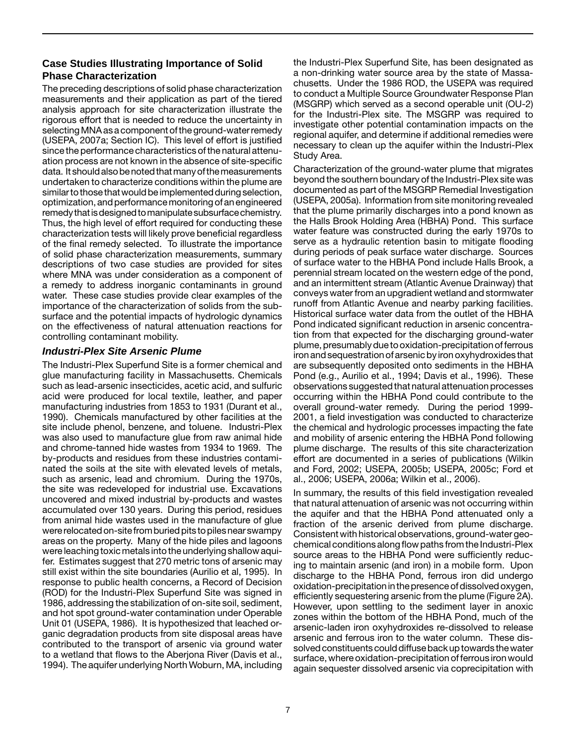#### **Case Studies Illustrating Importance of Solid Phase Characterization**

selecting MNA as a component of the ground-water remedy data. Itshouldalsobenotedthatmanyofthemeasurements similar to those that would be implemented during selection, optimization, and performance monitoring of an engineered remedy that is designed to manipulate subsurface chemistry. The preceding descriptions of solid phase characterization measurements and their application as part of the tiered analysis approach for site characterization illustrate the rigorous effort that is needed to reduce the uncertainty in (USEPA, 2007a; Section IC). This level of effort is justified since the performance characteristics of the natural attenuation process are not known in the absence of site-specific undertaken to characterize conditions within the plume are Thus, the high level of effort required for conducting these characterization tests will likely prove beneficial regardless of the final remedy selected. To illustrate the importance of solid phase characterization measurements, summary descriptions of two case studies are provided for sites where MNA was under consideration as a component of a remedy to address inorganic contaminants in ground water. These case studies provide clear examples of the importance of the characterization of solids from the subsurface and the potential impacts of hydrologic dynamics on the effectiveness of natural attenuation reactions for controlling contaminant mobility.

#### *Industri-Plex Site Arsenic Plume*

were relocated on-site from buried pits to piles near swampy The Industri-Plex Superfund Site is a former chemical and glue manufacturing facility in Massachusetts. Chemicals such as lead-arsenic insecticides, acetic acid, and sulfuric acid were produced for local textile, leather, and paper manufacturing industries from 1853 to 1931 (Durant et al., 1990). Chemicals manufactured by other facilities at the site include phenol, benzene, and toluene. Industri-Plex was also used to manufacture glue from raw animal hide and chrome-tanned hide wastes from 1934 to 1969. The by-products and residues from these industries contaminated the soils at the site with elevated levels of metals, such as arsenic, lead and chromium. During the 1970s, the site was redeveloped for industrial use. Excavations uncovered and mixed industrial by-products and wastes accumulated over 130 years. During this period, residues from animal hide wastes used in the manufacture of glue areas on the property. Many of the hide piles and lagoons were leaching toxic metals into the underlying shallow aquifer. Estimates suggest that 270 metric tons of arsenic may still exist within the site boundaries (Aurilio et al, 1995). In response to public health concerns, a Record of Decision (ROD) for the Industri-Plex Superfund Site was signed in 1986, addressing the stabilization of on-site soil, sediment, and hot spot ground-water contamination under Operable Unit 01 (USEPA, 1986). It is hypothesized that leached organic degradation products from site disposal areas have contributed to the transport of arsenic via ground water to a wetland that flows to the Aberjona River (Davis et al., 1994). The aquifer underlying North Woburn, MA, including

the Industri-Plex Superfund Site, has been designated as a non-drinking water source area by the state of Massachusetts. Under the 1986 ROD, the USEPA was required to conduct a Multiple Source Groundwater Response Plan (MSGRP) which served as a second operable unit (OU-2) for the Industri-Plex site. The MSGRP was required to investigate other potential contamination impacts on the regional aquifer, and determine if additional remedies were necessary to clean up the aquifer within the Industri-Plex Study Area.

plume, presumably due to oxidation-precipitation of ferrous iron and sequestration of arsenic by iron oxyhydroxides that Characterization of the ground-water plume that migrates beyond the southern boundary of the Industri-Plex site was documented as part of the MSGRP Remedial Investigation (USEPA, 2005a). Information from site monitoring revealed that the plume primarily discharges into a pond known as the Halls Brook Holding Area (HBHA) Pond. This surface water feature was constructed during the early 1970s to serve as a hydraulic retention basin to mitigate flooding during periods of peak surface water discharge. Sources of surface water to the HBHA Pond include Halls Brook, a perennial stream located on the western edge of the pond, and an intermittent stream (Atlantic Avenue Drainway) that conveys water from an upgradient wetland and stormwater runoff from Atlantic Avenue and nearby parking facilities. Historical surface water data from the outlet of the HBHA Pond indicated significant reduction in arsenic concentration from that expected for the discharging ground-water are subsequently deposited onto sediments in the HBHA Pond (e.g., Aurilio et al., 1994; Davis et al., 1996). These observations suggested that natural attenuation processes occurring within the HBHA Pond could contribute to the overall ground-water remedy. During the period 1999 2001, a field investigation was conducted to characterize the chemical and hydrologic processes impacting the fate and mobility of arsenic entering the HBHA Pond following plume discharge. The results of this site characterization effort are documented in a series of publications (Wilkin and Ford, 2002; USEPA, 2005b; USEPA, 2005c; Ford et al., 2006; USEPA, 2006a; Wilkin et al., 2006).

chemical conditions along flow paths from the Industri-Plex oxidation-precipitationinthepresenceofdissolvedoxygen, solved constituents could diffuse back up towards the water In summary, the results of this field investigation revealed that natural attenuation of arsenic was not occurring within the aquifer and that the HBHA Pond attenuated only a fraction of the arsenic derived from plume discharge. Consistent with historical observations, ground-water geosource areas to the HBHA Pond were sufficiently reducing to maintain arsenic (and iron) in a mobile form. Upon discharge to the HBHA Pond, ferrous iron did undergo efficiently sequestering arsenic from the plume (Figure 2A). However, upon settling to the sediment layer in anoxic zones within the bottom of the HBHA Pond, much of the arsenic-laden iron oxyhydroxides re-dissolved to release arsenic and ferrous iron to the water column. These dissurface, where oxidation-precipitation of ferrous iron would again sequester dissolved arsenic via coprecipitation with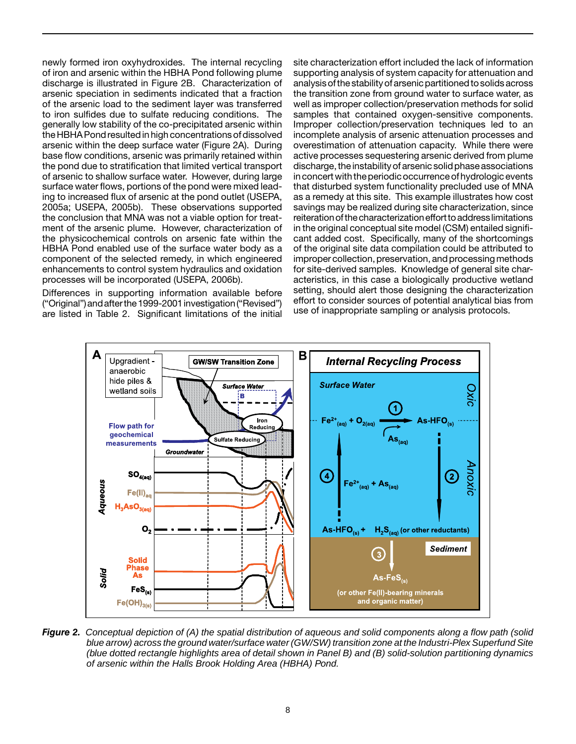newly formed iron oxyhydroxides. The internal recycling of iron and arsenic within the HBHA Pond following plume discharge is illustrated in Figure 2B. Characterization of arsenic speciation in sediments indicated that a fraction of the arsenic load to the sediment layer was transferred to iron sulfides due to sulfate reducing conditions. The generally low stability of the co-precipitated arsenic within the HBHA Pond resulted in high concentrations of dissolved arsenic within the deep surface water (Figure 2A). During base flow conditions, arsenic was primarily retained within the pond due to stratification that limited vertical transport of arsenic to shallow surface water. However, during large surface water flows, portions of the pond were mixed leading to increased flux of arsenic at the pond outlet (USEPA, 2005a; USEPA, 2005b). These observations supported the conclusion that MNA was not a viable option for treatment of the arsenic plume. However, characterization of the physicochemical controls on arsenic fate within the HBHA Pond enabled use of the surface water body as a component of the selected remedy, in which engineered enhancements to control system hydraulics and oxidation processes will be incorporated (USEPA, 2006b).

Differences in supporting information available before ("Original") and after the 1999-2001 investigation ("Revised") are listed in Table 2. Significant limitations of the initial site characterization effort included the lack of information supporting analysis of system capacity for attenuation and analysis of the stability of arsenic partitioned to solids across the transition zone from ground water to surface water, as well as improper collection/preservation methods for solid samples that contained oxygen-sensitive components. Improper collection/preservation techniques led to an incomplete analysis of arsenic attenuation processes and overestimation of attenuation capacity. While there were active processes sequestering arsenic derived from plume discharge, the instability of arsenic solid phase associations in concert with the periodic occurrence of hydrologic events that disturbed system functionality precluded use of MNA as a remedy at this site. This example illustrates how cost savings may be realized during site characterization, since reiteration of the characterization effort to address limitations in the original conceptual site model (CSM) entailed significant added cost. Specifically, many of the shortcomings of the original site data compilation could be attributed to improper collection, preservation, and processing methods for site-derived samples. Knowledge of general site characteristics, in this case a biologically productive wetland setting, should alert those designing the characterization effort to consider sources of potential analytical bias from use of inappropriate sampling or analysis protocols.



*Figure 2. Conceptual depiction of (A) the spatial distribution of aqueous and solid components along a flow path (solid blue arrow) across the ground water/surface water (GW/SW) transition zone at the Industri-Plex Superfund Site (blue dotted rectangle highlights area of detail shown in Panel B) and (B) solid-solution partitioning dynamics of arsenic within the Halls Brook Holding Area (HBHA) Pond.*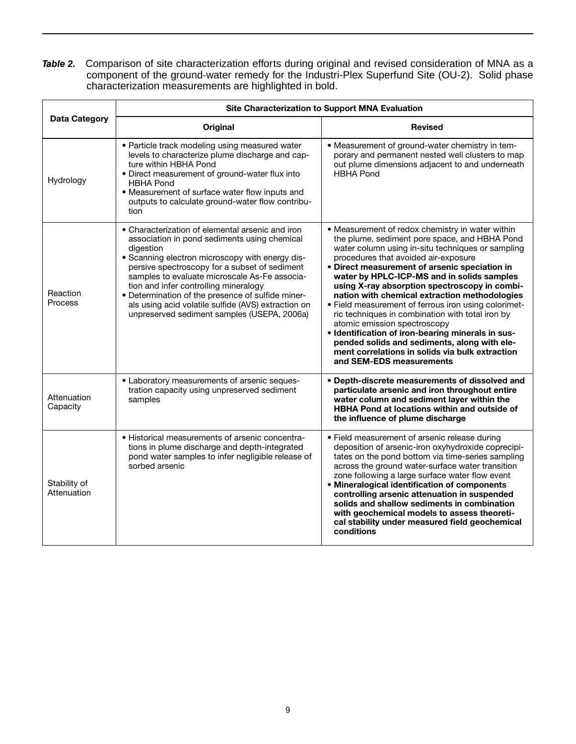**Table 2.** Comparison of site characterization efforts during original and revised consideration of MNA as a component of the ground-water remedy for the Industri-Plex Superfund Site (OU-2). Solid phase characterization measurements are highlighted in bold.

|                             | Site Characterization to Support MNA Evaluation                                                                                                                                                                                                                                                                                                                                                                                                                        |                                                                                                                                                                                                                                                                                                                                                                                                                                                                                                                                                                                                                                                                                                                                 |  |  |
|-----------------------------|------------------------------------------------------------------------------------------------------------------------------------------------------------------------------------------------------------------------------------------------------------------------------------------------------------------------------------------------------------------------------------------------------------------------------------------------------------------------|---------------------------------------------------------------------------------------------------------------------------------------------------------------------------------------------------------------------------------------------------------------------------------------------------------------------------------------------------------------------------------------------------------------------------------------------------------------------------------------------------------------------------------------------------------------------------------------------------------------------------------------------------------------------------------------------------------------------------------|--|--|
| Data Category               | Original                                                                                                                                                                                                                                                                                                                                                                                                                                                               | <b>Revised</b>                                                                                                                                                                                                                                                                                                                                                                                                                                                                                                                                                                                                                                                                                                                  |  |  |
| Hydrology                   | • Particle track modeling using measured water<br>levels to characterize plume discharge and cap-<br>ture within HBHA Pond<br>• Direct measurement of ground-water flux into<br><b>HBHA Pond</b><br>• Measurement of surface water flow inputs and<br>outputs to calculate ground-water flow contribu-<br>tion                                                                                                                                                         | • Measurement of ground-water chemistry in tem-<br>porary and permanent nested well clusters to map<br>out plume dimensions adjacent to and underneath<br><b>HBHA Pond</b>                                                                                                                                                                                                                                                                                                                                                                                                                                                                                                                                                      |  |  |
| Reaction<br><b>Process</b>  | • Characterization of elemental arsenic and iron<br>association in pond sediments using chemical<br>digestion<br>• Scanning electron microscopy with energy dis-<br>persive spectroscopy for a subset of sediment<br>samples to evaluate microscale As-Fe associa-<br>tion and infer controlling mineralogy<br>· Determination of the presence of sulfide miner-<br>als using acid volatile sulfide (AVS) extraction on<br>unpreserved sediment samples (USEPA, 2006a) | • Measurement of redox chemistry in water within<br>the plume, sediment pore space, and HBHA Pond<br>water column using in-situ techniques or sampling<br>procedures that avoided air-exposure<br>• Direct measurement of arsenic speciation in<br>water by HPLC-ICP-MS and in solids samples<br>using X-ray absorption spectroscopy in combi-<br>nation with chemical extraction methodologies<br>• Field measurement of ferrous iron using colorimet-<br>ric techniques in combination with total iron by<br>atomic emission spectroscopy<br>• Identification of iron-bearing minerals in sus-<br>pended solids and sediments, along with ele-<br>ment correlations in solids via bulk extraction<br>and SEM-EDS measurements |  |  |
| Attenuation<br>Capacity     | • Laboratory measurements of arsenic seques-<br>tration capacity using unpreserved sediment<br>samples                                                                                                                                                                                                                                                                                                                                                                 | • Depth-discrete measurements of dissolved and<br>particulate arsenic and iron throughout entire<br>water column and sediment layer within the<br><b>HBHA Pond at locations within and outside of</b><br>the influence of plume discharge                                                                                                                                                                                                                                                                                                                                                                                                                                                                                       |  |  |
| Stability of<br>Attenuation | • Historical measurements of arsenic concentra-<br>tions in plume discharge and depth-integrated<br>pond water samples to infer negligible release of<br>sorbed arsenic                                                                                                                                                                                                                                                                                                | • Field measurement of arsenic release during<br>deposition of arsenic-iron oxyhydroxide coprecipi-<br>tates on the pond bottom via time-series sampling<br>across the ground water-surface water transition<br>zone following a large surface water flow event<br>• Mineralogical identification of components<br>controlling arsenic attenuation in suspended<br>solids and shallow sediments in combination<br>with geochemical models to assess theoreti-<br>cal stability under measured field geochemical<br>conditions                                                                                                                                                                                                   |  |  |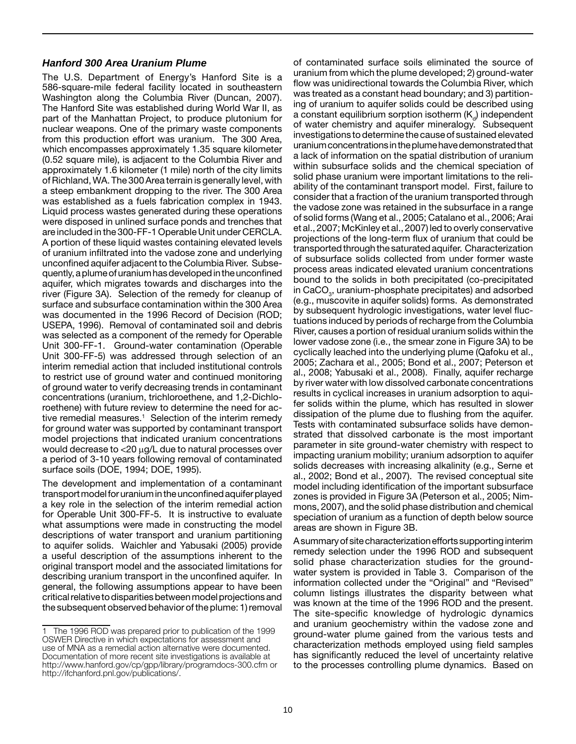#### *Hanford 300 Area Uranium Plume*

 The U.S. Department of Energy's Hanford Site is a quently, a plume of uranium has developed in the unconfined tive remedial measures.<sup>1</sup> Selection of the interim remedy 586-square-mile federal facility located in southeastern Washington along the Columbia River (Duncan, 2007). The Hanford Site was established during World War II, as part of the Manhattan Project, to produce plutonium for nuclear weapons. One of the primary waste components from this production effort was uranium. The 300 Area, which encompasses approximately 1.35 square kilometer (0.52 square mile), is adjacent to the Columbia River and approximately 1.6 kilometer (1 mile) north of the city limits of Richland, WA. The 300 Area terrain is generally level, with a steep embankment dropping to the river. The 300 Area was established as a fuels fabrication complex in 1943. Liquid process wastes generated during these operations were disposed in unlined surface ponds and trenches that are included in the 300-FF-1 Operable Unit under CERCLA. A portion of these liquid wastes containing elevated levels of uranium infiltrated into the vadose zone and underlying unconfined aquifer adjacent to the Columbia River. Subseaquifer, which migrates towards and discharges into the river (Figure 3A). Selection of the remedy for cleanup of surface and subsurface contamination within the 300 Area was documented in the 1996 Record of Decision (ROD; USEPA, 1996). Removal of contaminated soil and debris was selected as a component of the remedy for Operable Unit 300-FF-1. Ground-water contamination (Operable Unit 300-FF-5) was addressed through selection of an interim remedial action that included institutional controls to restrict use of ground water and continued monitoring of ground water to verify decreasing trends in contaminant concentrations (uranium, trichloroethene, and 1,2-Dichloroethene) with future review to determine the need for acfor ground water was supported by contaminant transport model projections that indicated uranium concentrations would decrease to <20 µg/L due to natural processes over a period of 3-10 years following removal of contaminated surface soils (DOE, 1994; DOE, 1995).

transport model for uranium in the unconfined aquifer played critical relative to disparities between model projections and The development and implementation of a contaminant a key role in the selection of the interim remedial action for Operable Unit 300-FF-5. It is instructive to evaluate what assumptions were made in constructing the model descriptions of water transport and uranium partitioning to aquifer solids. Waichler and Yabusaki (2005) provide a useful description of the assumptions inherent to the original transport model and the associated limitations for describing uranium transport in the unconfined aquifer. In general, the following assumptions appear to have been the subsequent observed behavior of the plume: 1) removal

uranium concentrations in the plume have demonstrated that transported through the saturated aquifer. Characterization [of c](http://ifchanford.pnl.gov/publications/.of)ontaminated surface soils eliminated the source of uranium from which the plume developed; 2) ground-water flow was unidirectional towards the Columbia River, which was treated as a constant head boundary; and 3) partitioning of uranium to aquifer solids could be described using a constant equilibrium sorption isotherm  $(K<sub>a</sub>)$  independent of water chemistry and aquifer mineralogy. Subsequent investigations to determine the cause of sustained elevated a lack of information on the spatial distribution of uranium within subsurface solids and the chemical speciation of solid phase uranium were important limitations to the reliability of the contaminant transport model. First, failure to consider that a fraction of the uranium transported through the vadose zone was retained in the subsurface in a range of solid forms (Wang et al., 2005; Catalano et al., 2006; Arai et al., 2007; McKinley et al., 2007) led to overly conservative projections of the long-term flux of uranium that could be of subsurface solids collected from under former waste process areas indicated elevated uranium concentrations bound to the solids in both precipitated (co-precipitated in CaCO<sub>3</sub>, uranium-phosphate precipitates) and adsorbed (e.g., muscovite in aquifer solids) forms. As demonstrated by subsequent hydrologic investigations, water level fluctuations induced by periods of recharge from the Columbia River, causes a portion of residual uranium solids within the lower vadose zone (i.e., the smear zone in Figure 3A) to be cyclically leached into the underlying plume (Qafoku et al., 2005; Zachara et al., 2005; Bond et al., 2007; Peterson et al., 2008; Yabusaki et al., 2008). Finally, aquifer recharge by river water with low dissolved carbonate concentrations results in cyclical increases in uranium adsorption to aquifer solids within the plume, which has resulted in slower dissipation of the plume due to flushing from the aquifer. Tests with contaminated subsurface solids have demonstrated that dissolved carbonate is the most important parameter in site ground-water chemistry with respect to impacting uranium mobility; uranium adsorption to aquifer solids decreases with increasing alkalinity (e.g., Serne et al., 2002; Bond et al., 2007). The revised conceptual site model including identification of the important subsurface zones is provided in Figure 3A (Peterson et al., 2005; Nimmons, 2007), and the solid phase distribution and chemical speciation of uranium as a function of depth below source areas are shown in Figure 3B.

 Asummaryofsitecharacterizationeffortssupportinginterim solid phase characterization studies for the ground- column listings illustrates the disparity between what The site-specific knowledge of hydrologic dynamics remedy selection under the 1996 ROD and subsequent water system is provided in Table 3. Comparison of the information collected under the "Original" and "Revised" was known at the time of the 1996 ROD and the present. and uranium geochemistry within the vadose zone and ground-water plume gained from the various tests and characterization methods employed using field samples has significantly reduced the level of uncertainty relative to the processes controlling plume dynamics. Based on

The 1996 ROD was prepared prior to publication of the 1999 OSWER Directive in which expectations for assessment and use of MNA as a remedial action alternative were documented. Documentation of more recent site investigations is available at [http://www.hanford.gov/cp/gpp/library/programdocs-300.cfm or](http://www.hanford.gov/cp/gpp/library/programdocs-300.cfm) [http://ifchanford.pnl.gov/publications/.](http://ifchanford.pnl.gov/publications/.of)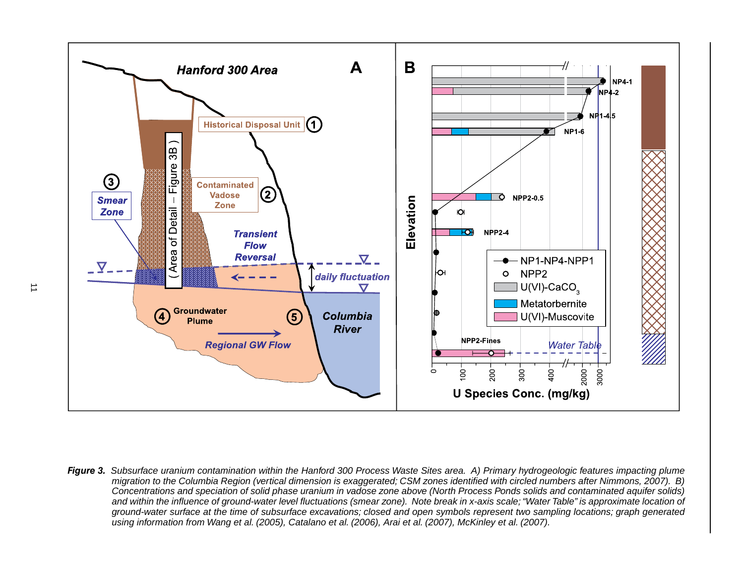![](_page_10_Figure_0.jpeg)

**Figure 3.** Subsurface uranium contamination within the Hanford 300 Process Waste Sites area. A) Primary hydrogeologic features impacting plume *migration to the Columbia Region (vertical dimension is exaggerated; CSM zones identified with circled numbers after Nimmons, 2007). B) Concentrations and speciation of solid phase uranium in vadose zone above (North Process Ponds solids and contaminated aquifer solids) and within the influence of ground-water level fluctuations (smear zone). Note break in x-axis scale; "Water Table" is approximate location of ground-water surface at the time of subsurface excavations; closed and open symbols represent two sampling locations; graph generated using information from Wang et al. (2005), Catalano et al. (2006), Arai et al. (2007), McKinley et al. (2007).*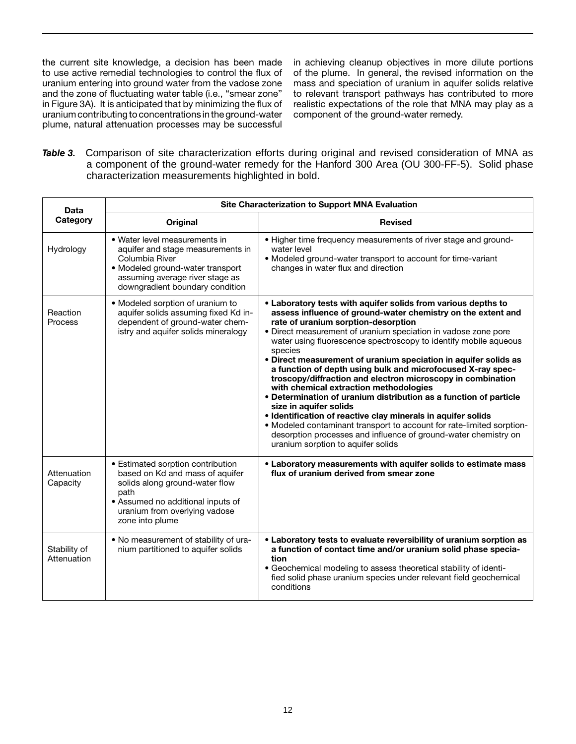uraniumcontributingtoconcentrationsintheground-water component of the ground-water remedy. the current site knowledge, a decision has been made in achieving cleanup objectives in more dilute portions to use active remedial technologies to control the flux of of the plume. In general, the revised information on the and the zone of fluctuating water table (i.e., "smear zone" in Figure 3A). It is anticipated that by minimizing the flux of realistic expectations of the role that MNA may play as a plume, natural attenuation processes may be successful

uranium entering into ground water from the vadose zone mass and speciation of uranium in aquifer solids relative<br>and the zone of fluctuating water table (i.e., "smear zone" to relevant transport pathways has contributed t

Table 3. Comparison of site characterization efforts during original and revised consideration of MNA as a component of the ground-water remedy for the Hanford 300 Area (OU 300-FF-5). Solid phase characterization measurements highlighted in bold.

| Data                        | Site Characterization to Support MNA Evaluation                                                                                                                                                         |                                                                                                                                                                                                                                                                                                                                                                                                                                                                                                                                                                                                                                                                                                                                                                                                                                                                                                                   |  |  |
|-----------------------------|---------------------------------------------------------------------------------------------------------------------------------------------------------------------------------------------------------|-------------------------------------------------------------------------------------------------------------------------------------------------------------------------------------------------------------------------------------------------------------------------------------------------------------------------------------------------------------------------------------------------------------------------------------------------------------------------------------------------------------------------------------------------------------------------------------------------------------------------------------------------------------------------------------------------------------------------------------------------------------------------------------------------------------------------------------------------------------------------------------------------------------------|--|--|
| Category                    | <b>Original</b>                                                                                                                                                                                         | <b>Revised</b>                                                                                                                                                                                                                                                                                                                                                                                                                                                                                                                                                                                                                                                                                                                                                                                                                                                                                                    |  |  |
| Hydrology                   | · Water level measurements in<br>aquifer and stage measurements in<br>Columbia River<br>• Modeled ground-water transport<br>assuming average river stage as<br>downgradient boundary condition          | • Higher time frequency measurements of river stage and ground-<br>water level<br>• Modeled ground-water transport to account for time-variant<br>changes in water flux and direction                                                                                                                                                                                                                                                                                                                                                                                                                                                                                                                                                                                                                                                                                                                             |  |  |
| Reaction<br>Process         | • Modeled sorption of uranium to<br>aquifer solids assuming fixed Kd in-<br>dependent of ground-water chem-<br>istry and aquifer solids mineralogy                                                      | . Laboratory tests with aquifer solids from various depths to<br>assess influence of ground-water chemistry on the extent and<br>rate of uranium sorption-desorption<br>· Direct measurement of uranium speciation in vadose zone pore<br>water using fluorescence spectroscopy to identify mobile aqueous<br>species<br>• Direct measurement of uranium speciation in aquifer solids as<br>a function of depth using bulk and microfocused X-ray spec-<br>troscopy/diffraction and electron microscopy in combination<br>with chemical extraction methodologies<br>• Determination of uranium distribution as a function of particle<br>size in aquifer solids<br>• Identification of reactive clay minerals in aquifer solids<br>• Modeled contaminant transport to account for rate-limited sorption-<br>desorption processes and influence of ground-water chemistry on<br>uranium sorption to aquifer solids |  |  |
| Attenuation<br>Capacity     | • Estimated sorption contribution<br>based on Kd and mass of aquifer<br>solids along ground-water flow<br>path<br>• Assumed no additional inputs of<br>uranium from overlying vadose<br>zone into plume | • Laboratory measurements with aquifer solids to estimate mass<br>flux of uranium derived from smear zone                                                                                                                                                                                                                                                                                                                                                                                                                                                                                                                                                                                                                                                                                                                                                                                                         |  |  |
| Stability of<br>Attenuation | . No measurement of stability of ura-<br>nium partitioned to aquifer solids                                                                                                                             | • Laboratory tests to evaluate reversibility of uranium sorption as<br>a function of contact time and/or uranium solid phase specia-<br>tion<br>• Geochemical modeling to assess theoretical stability of identi-<br>fied solid phase uranium species under relevant field geochemical<br>conditions                                                                                                                                                                                                                                                                                                                                                                                                                                                                                                                                                                                                              |  |  |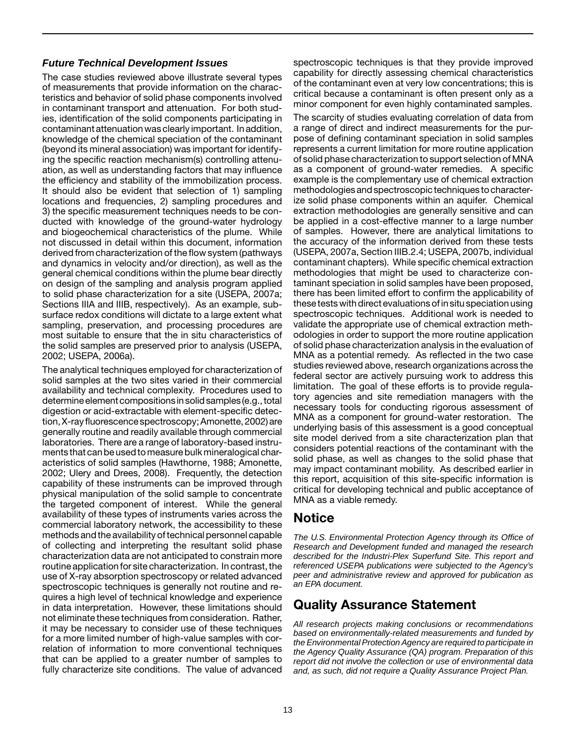#### *Future Technical Development Issues*

The case studies reviewed above illustrate several types of measurements that provide information on the characteristics and behavior of solid phase components involved in contaminant transport and attenuation. For both studies, identification of the solid components participating in contaminant attenuation was clearly important. In addition, knowledge of the chemical speciation of the contaminant (beyond its mineral association) was important for identifying the specific reaction mechanism(s) controlling attenuation, as well as understanding factors that may influence the efficiency and stability of the immobilization process. It should also be evident that selection of 1) sampling locations and frequencies, 2) sampling procedures and 3) the specific measurement techniques needs to be conducted with knowledge of the ground-water hydrology and biogeochemical characteristics of the plume. While not discussed in detail within this document, information derived from characterization of the flow system (pathways and dynamics in velocity and/or direction), as well as the general chemical conditions within the plume bear directly on design of the sampling and analysis program applied to solid phase characterization for a site (USEPA, 2007a; Sections IIIA and IIIB, respectively). As an example, subsurface redox conditions will dictate to a large extent what sampling, preservation, and processing procedures are most suitable to ensure that the in situ characteristics of the solid samples are preserved prior to analysis (USEPA, 2002; USEPA, 2006a).

determine element compositions in solid samples (e.g., total tion,X-rayfluorescencespectroscopy;Amonette,2002)are The analytical techniques employed for characterization of solid samples at the two sites varied in their commercial availability and technical complexity. Procedures used to digestion or acid-extractable with element-specific detecgenerally routine and readily available through commercial laboratories. There are a range of laboratory-based instruments that can be used to measure bulk mineralogical characteristics of solid samples (Hawthorne, 1988; Amonette, 2002; Ulery and Drees, 2008). Frequently, the detection capability of these instruments can be improved through physical manipulation of the solid sample to concentrate the targeted component of interest. While the general availability of these types of instruments varies across the commercial laboratory network, the accessibility to these methods and the availability of technical personnel capable of collecting and interpreting the resultant solid phase characterization data are not anticipated to constrain more routine application for site characterization. In contrast, the use of X-ray absorption spectroscopy or related advanced spectroscopic techniques is generally not routine and requires a high level of technical knowledge and experience in data interpretation. However, these limitations should not eliminate these techniques from consideration. Rather, it may be necessary to consider use of these techniques for a more limited number of high-value samples with correlation of information to more conventional techniques that can be applied to a greater number of samples to fully characterize site conditions. The value of advanced

spectroscopic techniques is that they provide improved capability for directly assessing chemical characteristics of the contaminant even at very low concentrations; this is critical because a contaminant is often present only as a minor component for even highly contaminated samples.

methodologies and spectroscopic techniques to characterthese tests with direct evaluations of in situ speciation using The scarcity of studies evaluating correlation of data from a range of direct and indirect measurements for the purpose of defining contaminant speciation in solid samples represents a current limitation for more routine application of solid phase characterization to support selection of MNA as a component of ground-water remedies. A specific example is the complementary use of chemical extraction ize solid phase components within an aquifer. Chemical extraction methodologies are generally sensitive and can be applied in a cost-effective manner to a large number of samples. However, there are analytical limitations to the accuracy of the information derived from these tests (USEPA, 2007a, Section IIIB.2.4; USEPA, 2007b, individual contaminant chapters). While specific chemical extraction methodologies that might be used to characterize contaminant speciation in solid samples have been proposed, there has been limited effort to confirm the applicability of spectroscopic techniques. Additional work is needed to validate the appropriate use of chemical extraction methodologies in order to support the more routine application of solid phase characterization analysis in the evaluation of MNA as a potential remedy. As reflected in the two case studies reviewed above, research organizations across the federal sector are actively pursuing work to address this limitation. The goal of these efforts is to provide regulatory agencies and site remediation managers with the necessary tools for conducting rigorous assessment of MNA as a component for ground-water restoration. The underlying basis of this assessment is a good conceptual site model derived from a site characterization plan that considers potential reactions of the contaminant with the solid phase, as well as changes to the solid phase that may impact contaminant mobility. As described earlier in this report, acquisition of this site-specific information is critical for developing technical and public acceptance of MNA as a viable remedy.

## Notice

*The U.S. Environmental Protection Agency through its Office of Research and Development funded and managed the research described for the Industri-Plex Superfund Site. This report and referenced USEPA publications were subjected to the Agency's peer and administrative review and approved for publication as an EPA document.* 

### Quality Assurance Statement

*All research projects making conclusions or recommendations based on environmentally-related measurements and funded by the Environmental Protection Agency are required to participate in the Agency Quality Assurance (QA) program. Preparation of this report did not involve the collection or use of environmental data and, as such, did not require a Quality Assurance Project Plan.*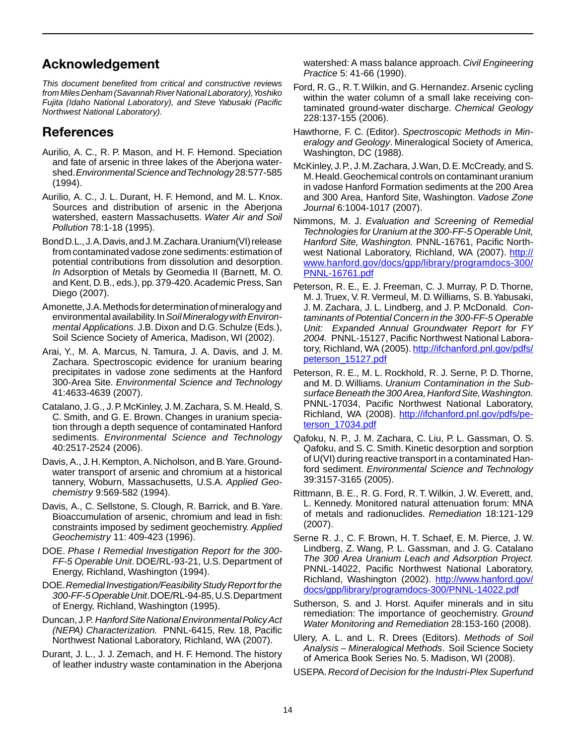## Acknowledgement

 *fromMilesDenham(SavannahRiverNationalLaboratory),Yoshiko Northwest National Laboratory). This document benefited from critical and constructive reviews Fujita (Idaho National Laboratory), and Steve Yabusaki (Pacific* 

## References

- Aurilio, A. C., R. P. Mason, and H. F. Hemond. Speciation  shed.*EnvironmentalScienceandTechnology* 28:577-585 and fate of arsenic in three lakes of the Aberjona water-(1994).
- Aurilio, A. C., J. L. Durant, H. F. Hemond, and M. L. Knox. Sources and distribution of arsenic in the Aberjona watershed, eastern Massachusetts. *Water Air and Soil Pollution* 78:1-18 (1995).
- BondD.L.,J.A.Davis,andJ.M.Zachara.Uranium(VI)release *In* Adsorption of Metals by Geomedia II (Barnett, M. O. and Kent, D.B., eds.), pp.379-420.Academic Press, San from contaminated vadose zone sediments: estimation of potential contributions from dissolution and desorption. Diego (2007).
- Amonette, J.A. Methods for determination of mineralogy and environmental availability. In Soil Mineralogy with Environ- *mental Applications*. J.B. Dixon and D.G. Schulze (Eds.), Soil Science Society of America, Madison, WI (2002).
- Arai, Y., M. A. Marcus, N. Tamura, J. A. Davis, and J. M. Zachara. Spectroscopic evidence for uranium bearing precipitates in vadose zone sediments at the Hanford 300-Area Site. *Environmental Science and Technology*  41:4633-4639 (2007).
- Catalano, J.G., J.P.McKinley, J.M.Zachara, S.M.Heald, S. C. Smith, and G. E. Brown. Changes in uranium specia- sediments. *Environmental Science and Technology*  tion through a depth sequence of contaminated Hanford 40:2517-2524 (2006).
- Davis, A., J.H.Kempton, A.Nicholson, and B.Yare.Groundwater transport of arsenic and chromium at a historical tannery, Woburn, Massachusetts, U.S.A. *Applied Geochemistry* 9:569-582 (1994).
- Davis, A., C. Sellstone, S. Clough, R. Barrick, and B. Yare. Bioaccumulation of arsenic, chromium and lead in fish: constraints imposed by sediment geochemistry. *Applied Geochemistry* 11: 409-423 (1996).
- DOE. *Phase I Remedial Investigation Report for the 300 FF-5 Operable Unit*. DOE/RL-93-21, U.S. Department of Energy, Richland, Washington (1994).
- DOE.*RemedialInvestigation/FeasibilityStudyReportforthe 300-FF-5OperableUnit*.DOE/RL-94-85,U.S.Department of Energy, Richland, Washington (1995).
- Duncan,J.P. *HanfordSiteNationalEnvironmentalPolicyAct (NEPA) Characterization.* PNNL-6415, Rev. 18, Pacific Northwest National Laboratory, Richland, WA (2007).
- Durant, J. L., J. J. Zemach, and H. F. Hemond. The history of leather industry waste contamination in the Aberjona

watershed: A mass balance approach. *Civil Engineering Practice* 5: 41-66 (1990).

- Ford, R. G., R.T.Wilkin, and G. Hernandez. Arsenic cycling within the water column of a small lake receiving contaminated ground-water discharge. *Chemical Geology*  228:137-155 (2006).
- Hawthorne, F. C. (Editor). *Spectroscopic Methods in Mineralogy and Geology*. Mineralogical Society of America, Washington, DC (1988).
- McKinley, J.P., J.M.Zachara, J.Wan, D.E.McCready, and S. M.Heald.Geochemical controls on contaminant uranium in vadose Hanford Formation sediments at the 200 Area and 300 Area, Hanford Site, Washington. *Vadose Zone Journal* 6:1004-1017 (2007).
- Nimmons, M. J. *Evaluation and Screening of Remedial Technologies for Uranium at the 300-FF-5 Operable Unit, Hanford Site, Washington.* PNNL-16761, Pacific Northwest National Laboratory, Richland, WA (2007). http:// [www.hanford.gov/docs/gpp/library/programdocs-300/](http://www.hanford.gov/docs/gpp/library/programdocs-300/PNNL-16761.pdf)  [PNNL-16761.pdf](http://www.hanford.gov/docs/gpp/library/programdocs-300/PNNL-16761.pdf)
- Peterson, R. E., E. J. Freeman, C. J. Murray, P. D. Thorne, M. J.Truex, V. R. Vermeul, M. D. Williams, S. B.Yabusaki, J. M. Zachara, J. L. Lindberg, and J. P. McDonald. *Con-*Unit: Expanded Annual Groundwater Report for FY *2004.* PNNL-15127, Pacific Northwest National Labora*taminants of Potential Concern in the 300-FF-5 Operable*  tory, Richland, WA (2005). [http://ifchanford.pnl.gov/pdfs/](http://ifchanford.pnl.gov/pdfs/peterson_15127.pdf)  [peterson\\_15127.pdf](http://ifchanford.pnl.gov/pdfs/peterson_15127.pdf)
- Peterson, R. E., M. L. Rockhold, R. J. Serne, P. D. Thorne, and M. D. Williams. *Uranium Contamination in the Sub-* PNNL-17034, Pacific Northwest National Laboratory, *surface Beneath the 300 Area, Hanford Site, Washington.*  [Richland, WA \(2008\). http://ifchanford.pnl.gov/pdfs/pe](http://ifchanford.pnl.gov/pdfs/pe�terson_17034.pdf)terson\_[17034.pdf](http://ifchanford.pnl.gov/pdfs/pe�terson_17034.pdf)
- Qafoku, N. P., J. M. Zachara, C. Liu, P. L. Gassman, O. S. Qafoku, and S. C. Smith. Kinetic desorption and sorption of U(VI) during reactive transport in a contaminated Hanford sediment. *Environmental Science and Technology*  39:3157-3165 (2005).
- Rittmann, B. E., R. G. Ford, R. T. Wilkin, J. W. Everett, and, L. Kennedy. Monitored natural attenuation forum: MNA of metals and radionuclides. *Remediation* 18:121-129 (2007).
- Serne R. J., C. F. Brown, H. T. Schaef, E. M. Pierce, J. W. Lindberg, Z. Wang, P. L. Gassman, and J. G. Catalano PNNL-14022, Pacific Northwest National Laboratory, *The 300 Area Uranium Leach and Adsorption Project.*  Richland, Washington (2002). [http://www.hanford.gov/](http://www.hanford.gov/docs/gpp/library/programdocs-300/PNNL-14022.pdf)  [docs/gpp/library/programdocs-300/PNNL-14022.pdf](http://www.hanford.gov/docs/gpp/library/programdocs-300/PNNL-14022.pdf)
- Sutherson, S. and J. Horst. Aquifer minerals and in situ remediation: The importance of geochemistry. *Ground Water Monitoring and Remediation* 28:153-160 (2008).
- Ulery, A. L. and L. R. Drees (Editors). *Methods of Soil Analysis – Mineralogical Methods*. Soil Science Society of America Book Series No. 5. Madison, WI (2008).
- USEPA. *Record of Decision for the Industri-Plex Superfund*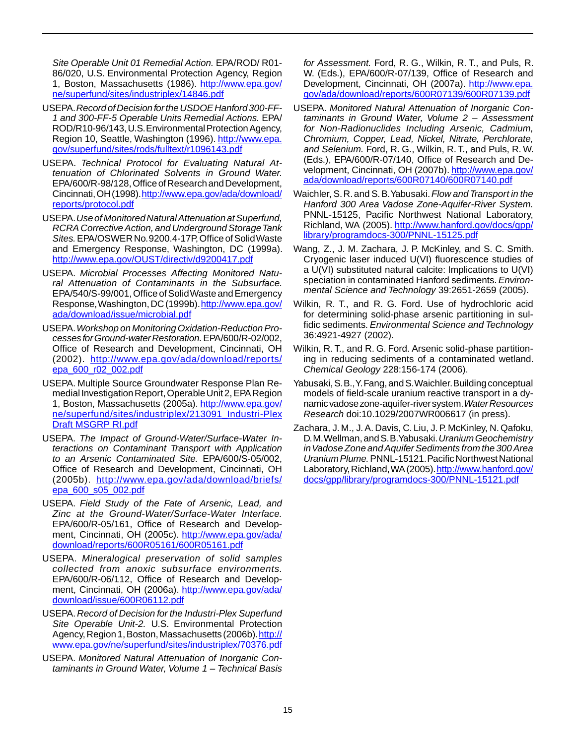*Site Operable Unit 01 Remedial Action.* EPA/ROD/ R01 86/020, U.S. Environmental Protection Agency, Region 1, Boston, Massachusetts (1986). [http://www.epa.gov/](http://www.epa.gov/ne/superfund/sites/industriplex/14846.pdf) 

- [ne/superfund/sites/industriplex/14846.pdf](http://www.epa.gov/ne/superfund/sites/industriplex/14846.pdf)
- USEPA.*RecordofDecisionfortheUSDOEHanford300-FF-*ROD/R10-96/143, U.S. Environmental Protection Agency, *1 and 300-FF-5 Operable Units Remedial Actions.* EPA/ Region 10, Seattle, Washington (1996). [http://www.epa.](http://www.epa.gov/superfund/sites/rods/fulltext/r1096143.pdf)  [gov/superfund/sites/rods/fulltext/r1096143.pdf](http://www.epa.gov/superfund/sites/rods/fulltext/r1096143.pdf)
- USEPA. *Technical Protocol for Evaluating Natural At- tenuation of Chlorinated Solvents in Ground Water.*  EPA/600/R-98/128, Office of Research and Development, Cincinnati, OH (1998). http://www.epa.gov/ada/download/ [reports/protocol.pdf](http://www.epa.gov/ada/download/reports/protocol.pdf)
- Sites. EPA/OSWER No. 9200.4-17P, Office of Solid Waste USEPA.*Use of Monitored Natural Attenuation at Superfund, RCRA Corrective Action, and Underground Storage Tank*  and Emergency Response, Washington, DC (1999a). <http://www.epa.gov/OUST/directiv/d9200417.pdf>
- *ral Attenuation of Contaminants in the Subsurface.*  Response, Washington, DC (1999b). http://www.epa.gov/ USEPA. *Microbial Processes Affecting Monitored Natu-*EPA/540/S-99/001, Office of Solid Waste and Emergency [ada/download/issue/microbial.pdf](http://www.epa.gov/ada/download/issue/microbial.pdf)
- *cessesforGround-waterRestoration.* EPA/600/R-02/002, USEPA.*Workshop on Monitoring Oxidation-Reduction Pro-*Office of Research and Development, Cincinnati, OH (2002). [http://www.epa.gov/ada/download/reports/](http://www.epa.gov/ada/download/reports/epa_600_r02_002.pdf)  [epa\\_600\\_r02\\_002.pdf](http://www.epa.gov/ada/download/reports/epa_600_r02_002.pdf)
- medial Investigation Report, Operable Unit 2, EPA Region USEPA. Multiple Source Groundwater Response Plan Re-1, Boston, Massachusetts (2005a). [http://www.epa.gov/](http://www.epa.gov/ne/superfund/sites/industriplex/213091_Industri-Plex)  [ne/superfund/sites/industriplex/213091\\_Industri-Plex](http://www.epa.gov/ne/superfund/sites/industriplex/213091_Industri-Plex)  Draft MSGRP RI.pdf
- USEPA. *The Impact of Ground-Water/Surface-Water Interactions on Contaminant Transport with Application to an Arsenic Contaminated Site.* EPA/600/S-05/002, Office of Research and Development, Cincinnati, OH (2005b). [http://www.epa.gov/ada/download/briefs/](http://www.epa.gov/ada/download/briefs/epa_600_s05_002.pdf)  [epa\\_600\\_s05\\_002.pdf](http://www.epa.gov/ada/download/briefs/epa_600_s05_002.pdf)
- *Zinc at the Ground-Water/Surface-Water Interface.*  USEPA. *Field Study of the Fate of Arsenic, Lead, and*  EPA/600/R-05/161, Office of Research and Development, Cincinnati, OH (2005c). [http://www.epa.gov/ada/](http://www.epa.gov/ada/download/reports/600R05161/600R05161.pdf)  [download/reports/600R05161/600R05161.pdf](http://www.epa.gov/ada/download/reports/600R05161/600R05161.pdf)
- USEPA. *Mineralogical preservation of solid samples collected from anoxic subsurface environments.*  EPA/600/R-06/112, Office of Research and Development, Cincinnati, OH (2006a). http://www.epa.gov/ada/ [download/issue/600R06112.pdf](http://www.epa.gov/ada/download/issue/600R06112.pdf)
- Site Operable Unit-2. U.S. Environmental Protection Agency, Region 1, Boston, Massachusetts (2006b). http:// USEPA. *Record of Decision for the Industri-Plex Superfund*  [www.epa.gov/ne/superfund/sites/industriplex/70376.pdf](http://www.epa.gov/ne/superfund/sites/industriplex/70376.pdf)
- USEPA. *Monitored Natural Attenuation of Inorganic Contaminants in Ground Water, Volume 1 – Technical Basis*

 *for Assessment.* Ford, R. G., Wilkin, R. T., and Puls, R. W. (Eds.), EPA/600/R-07/139, Office of Research and Development, Cincinnati, OH (2007a). [http://www.epa.](http://www.epa.gov/ada/download/reports/600R07139/600R07139.pdf)  [gov/ada/download/reports/600R07139/600R07139.pdf](http://www.epa.gov/ada/download/reports/600R07139/600R07139.pdf) 

- *for Non-Radionuclides Including Arsenic, Cadmium, and Selenium.* Ford, R. G., Wilkin, R. T., and Puls, R. W. USEPA. *Monitored Natural Attenuation of Inorganic Contaminants in Ground Water, Volume 2 – Assessment Chromium, Copper, Lead, Nickel, Nitrate, Perchlorate,*  (Eds.), EPA/600/R-07/140, Office of Research and Development, Cincinnati, OH (2007b). http://www.epa.gov/ [ada/download/reports/600R07140/600R07140.pdf](http://www.epa.gov/ada/download/reports/600R07140/600R07140.pdf)
- Waichler, S.R.and S.B.Yabusaki. *Flow and Transport in the*  PNNL-15125, Pacific Northwest National Laboratory, *Hanford 300 Area Vadose Zone-Aquifer-River System.*  Richland, WA (2005). [http://www.hanford.gov/docs/gpp/](http://www.hanford.gov/docs/gpp/library/programdocs-300/PNNL-15125.pdf)  [library/programdocs-300/PNNL-15125.pdf](http://www.hanford.gov/docs/gpp/library/programdocs-300/PNNL-15125.pdf)
- Wang, Z., J. M. Zachara, J. P. McKinley, and S. C. Smith. Cryogenic laser induced U(VI) fluorescence studies of a U(VI) substituted natural calcite: Implications to U(VI) speciation in contaminated Hanford sediments. *Environmental Science and Technology* 39:2651-2659 (2005).
- Wilkin, R. T., and R. G. Ford. Use of hydrochloric acid for determining solid-phase arsenic partitioning in sulfidic sediments. *Environmental Science and Technology*  36:4921-4927 (2002).
- Wilkin, R. T., and R. G. Ford. Arsenic solid-phase partitioning in reducing sediments of a contaminated wetland. *Chemical Geology* 228:156-174 (2006).
- Yabusaki, S.B., Y. Fang, and S. Waichler. Building conceptual namicvadosezone-aquifer-riversystem.*WaterResources*  models of field-scale uranium reactive transport in a dy-*Research* doi:10.1029/2007WR006617 (in press).
- Zachara, J. M., J. A. Davis, C. Liu, J. P. McKinley, N. Qafoku, D.M.Wellman,andS.B.Yabusaki.*UraniumGeochemistry UraniumPlume.* PNNL-15121.PacificNorthwestNational Laboratory, Richland, WA (2005). http://www.hanford.gov/ *in Vadose Zone and Aquifer Sediments from the 300 Area*  docs/gpp/library/programdocs-300/PNNL-15121.pdf